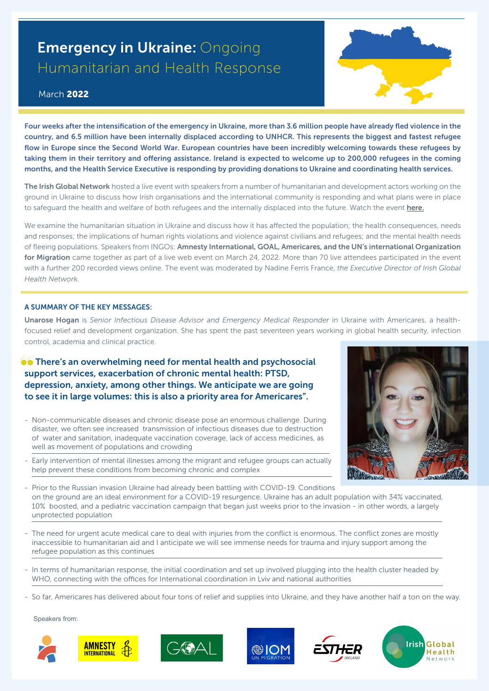## **Emergency in Ukraine: Ongoing** Humanitarian and Health Response

## March 2022

[Four weeks after the intensification of the emergency in Ukraine, more than 3.6 million people have already fled violence in the](http://here)  country, and 6.5 million have been internally displaced according to UNHCR. This represents the biggest and fastest refugee flow in Europe since the Second World War. European countries have been incredibly welcoming towards these refugees by taking them in their territory and offering assistance. Ireland is expected to welcome up to 200,000 refugees in the coming months, and the Health Service Executive is responding by providing donations to Ukraine and coordinating health services.

The Irish Global Network hosted a live event with speakers from a number of humanitarian and development actors working on the ground in Ukraine to discuss how Irish organisations and the international community is responding and what plans were in place to safeguard the health and welfare of both refugees and the internally displaced into the future. Watch the event [here](https://www.youtube.com/watch?v=5Ejoeunt2Ow [LIVE LINK]
).

We examine the humanitarian situation in Ukraine and discuss how it has affected the population; the health consequences, needs and responses; the implications of human rights violations and violence against civilians and refugees; and the mental health needs of fleeing populations. Speakers from INGOs: Amnesty International, GOAL, Americares, and the UN's international Organization for Migration came together as part of a live web event on March 24, 2022. More than 70 live attendees participated in the event with a further 200 recorded views online. The event was moderated by Nadine Ferris France, *the Executive Director of Irish Global Health Network.* 

## A SUMMARY OF THE KEY MESSAGES:

Unarose Hogan is *Senior Infectious Disease Advisor and Emergency Medical Responder* in Ukraine with Americares, a healthfocused relief and development organization. She has spent the past seventeen years working in global health security, infection control, academia and clinical practice.

## **OC** There's an overwhelming need for mental health and psychosocial support services, exacerbation of chronic mental health: PTSD, depression, anxiety, among other things. We anticipate we are going to see it in large volumes: this is also a priority area for Americares".

- Non-communicable diseases and chronic disease pose an enormous challenge. During disaster, we often see increased transmission of infectious diseases due to destruction of water and sanitation, inadequate vaccination coverage, lack of access medicines, as well as movement of populations and crowding
- Early intervention of mental illnesses among the migrant and refugee groups can actually help prevent these conditions from becoming chronic and complex
- Prior to the Russian invasion Ukraine had already been battling with COVID-19. Conditions on the ground are an ideal environment for a COVID-19 resurgence. Ukraine has an adult population with 34% vaccinated, 10% boosted, and a pediatric vaccination campaign that began just weeks prior to the invasion - in other words, a largely unprotected population
- The need for urgent acute medical care to deal with injuries from the conflict is enormous. The conflict zones are mostly inaccessible to humanitarian aid and I anticipate we will see immense needs for trauma and injury support among the refugee population as this continues
- In terms of humanitarian response, the initial coordination and set up involved plugging into the health cluster headed by WHO, connecting with the offices for International coordination in Lviv and national authorities
- So far, Americares has delivered about four tons of relief and supplies into Ukraine, and they have another half a ton on the way.

Speakers from: